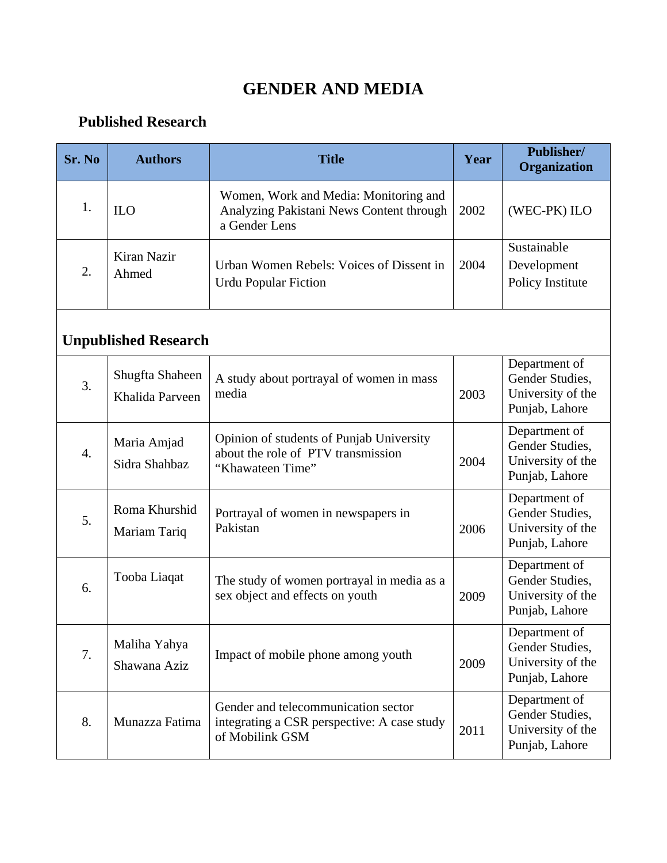## **GENDER AND MEDIA**

## **Published Research**

| Sr. No | <b>Authors</b>                     | <b>Title</b>                                                                                          | Year | Publisher/<br>Organization                                              |
|--------|------------------------------------|-------------------------------------------------------------------------------------------------------|------|-------------------------------------------------------------------------|
| 1.     | <b>ILO</b>                         | Women, Work and Media: Monitoring and<br>Analyzing Pakistani News Content through<br>a Gender Lens    | 2002 | (WEC-PK) ILO                                                            |
| 2.     | Kiran Nazir<br>Ahmed               | Urban Women Rebels: Voices of Dissent in<br><b>Urdu Popular Fiction</b>                               | 2004 | Sustainable<br>Development<br>Policy Institute                          |
|        | <b>Unpublished Research</b>        |                                                                                                       |      |                                                                         |
| 3.     | Shugfta Shaheen<br>Khalida Parveen | A study about portrayal of women in mass<br>media                                                     | 2003 | Department of<br>Gender Studies,<br>University of the<br>Punjab, Lahore |
| 4.     | Maria Amjad<br>Sidra Shahbaz       | Opinion of students of Punjab University<br>about the role of PTV transmission<br>"Khawateen Time"    | 2004 | Department of<br>Gender Studies,<br>University of the<br>Punjab, Lahore |
| 5.     | Roma Khurshid<br>Mariam Tariq      | Portrayal of women in newspapers in<br>Pakistan                                                       | 2006 | Department of<br>Gender Studies,<br>University of the<br>Punjab, Lahore |
| 6.     | Tooba Liaqat                       | The study of women portrayal in media as a<br>sex object and effects on youth                         | 2009 | Department of<br>Gender Studies,<br>University of the<br>Punjab, Lahore |
| 7.     | Maliha Yahya<br>Shawana Aziz       | Impact of mobile phone among youth                                                                    | 2009 | Department of<br>Gender Studies,<br>University of the<br>Punjab, Lahore |
| 8.     | Munazza Fatima                     | Gender and telecommunication sector<br>integrating a CSR perspective: A case study<br>of Mobilink GSM | 2011 | Department of<br>Gender Studies,<br>University of the<br>Punjab, Lahore |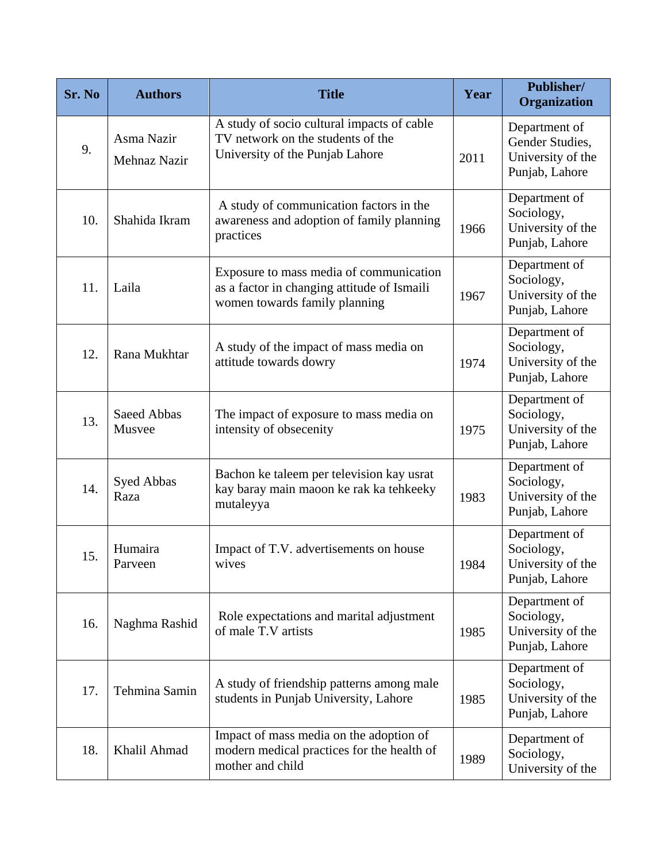| Sr. No | <b>Authors</b>             | <b>Title</b>                                                                                                            | Year | Publisher/<br>Organization                                              |
|--------|----------------------------|-------------------------------------------------------------------------------------------------------------------------|------|-------------------------------------------------------------------------|
| 9.     | Asma Nazir<br>Mehnaz Nazir | A study of socio cultural impacts of cable<br>TV network on the students of the<br>University of the Punjab Lahore      | 2011 | Department of<br>Gender Studies,<br>University of the<br>Punjab, Lahore |
| 10.    | Shahida Ikram              | A study of communication factors in the<br>awareness and adoption of family planning<br>practices                       | 1966 | Department of<br>Sociology,<br>University of the<br>Punjab, Lahore      |
| 11.    | Laila                      | Exposure to mass media of communication<br>as a factor in changing attitude of Ismaili<br>women towards family planning | 1967 | Department of<br>Sociology,<br>University of the<br>Punjab, Lahore      |
| 12.    | Rana Mukhtar               | A study of the impact of mass media on<br>attitude towards dowry                                                        | 1974 | Department of<br>Sociology,<br>University of the<br>Punjab, Lahore      |
| 13.    | Saeed Abbas<br>Musvee      | The impact of exposure to mass media on<br>intensity of obsecenity                                                      | 1975 | Department of<br>Sociology,<br>University of the<br>Punjab, Lahore      |
| 14.    | Syed Abbas<br>Raza         | Bachon ke taleem per television kay usrat<br>kay baray main maoon ke rak ka tehkeeky<br>mutaleyya                       | 1983 | Department of<br>Sociology,<br>University of the<br>Punjab, Lahore      |
| 15.    | Humaira<br>Parveen         | Impact of T.V. advertisements on house<br>wives                                                                         | 1984 | Department of<br>Sociology,<br>University of the<br>Punjab, Lahore      |
| 16.    | Naghma Rashid              | Role expectations and marital adjustment<br>of male T.V artists                                                         | 1985 | Department of<br>Sociology,<br>University of the<br>Punjab, Lahore      |
| 17.    | Tehmina Samin              | A study of friendship patterns among male<br>students in Punjab University, Lahore                                      | 1985 | Department of<br>Sociology,<br>University of the<br>Punjab, Lahore      |
| 18.    | Khalil Ahmad               | Impact of mass media on the adoption of<br>modern medical practices for the health of<br>mother and child               | 1989 | Department of<br>Sociology,<br>University of the                        |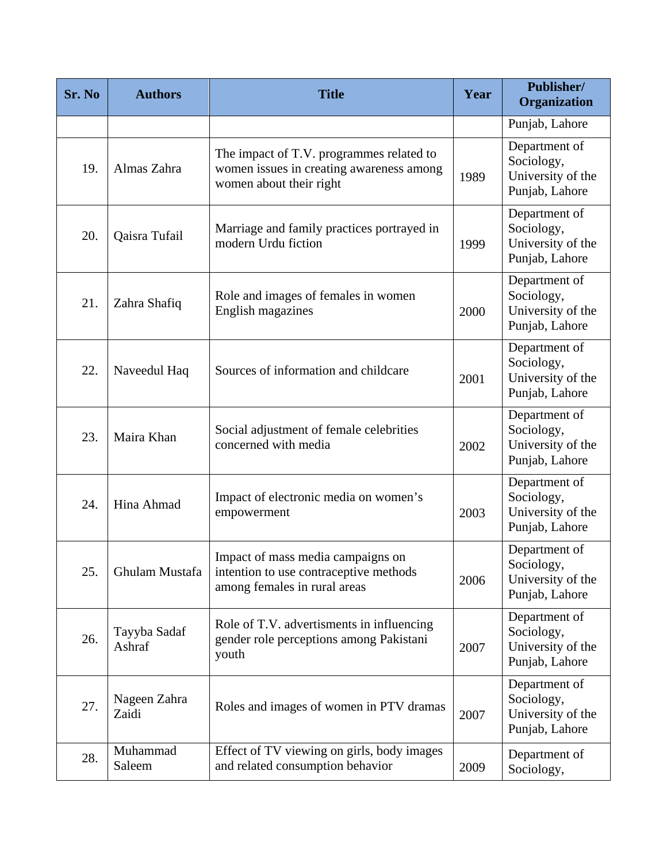| Sr. No | <b>Authors</b>         | <b>Title</b>                                                                                                    | Year | Publisher/<br>Organization                                         |
|--------|------------------------|-----------------------------------------------------------------------------------------------------------------|------|--------------------------------------------------------------------|
|        |                        |                                                                                                                 |      | Punjab, Lahore                                                     |
| 19.    | Almas Zahra            | The impact of T.V. programmes related to<br>women issues in creating awareness among<br>women about their right | 1989 | Department of<br>Sociology,<br>University of the<br>Punjab, Lahore |
| 20.    | Qaisra Tufail          | Marriage and family practices portrayed in<br>modern Urdu fiction                                               | 1999 | Department of<br>Sociology,<br>University of the<br>Punjab, Lahore |
| 21.    | Zahra Shafiq           | Role and images of females in women<br>English magazines                                                        | 2000 | Department of<br>Sociology,<br>University of the<br>Punjab, Lahore |
| 22.    | Naveedul Haq           | Sources of information and childcare                                                                            | 2001 | Department of<br>Sociology,<br>University of the<br>Punjab, Lahore |
| 23.    | Maira Khan             | Social adjustment of female celebrities<br>concerned with media                                                 | 2002 | Department of<br>Sociology,<br>University of the<br>Punjab, Lahore |
| 24.    | Hina Ahmad             | Impact of electronic media on women's<br>empowerment                                                            | 2003 | Department of<br>Sociology,<br>University of the<br>Punjab, Lahore |
| 25.    | Ghulam Mustafa         | Impact of mass media campaigns on<br>intention to use contraceptive methods<br>among females in rural areas     | 2006 | Department of<br>Sociology,<br>University of the<br>Punjab, Lahore |
| 26.    | Tayyba Sadaf<br>Ashraf | Role of T.V. advertisments in influencing<br>gender role perceptions among Pakistani<br>youth                   | 2007 | Department of<br>Sociology,<br>University of the<br>Punjab, Lahore |
| 27.    | Nageen Zahra<br>Zaidi  | Roles and images of women in PTV dramas                                                                         | 2007 | Department of<br>Sociology,<br>University of the<br>Punjab, Lahore |
| 28.    | Muhammad<br>Saleem     | Effect of TV viewing on girls, body images<br>and related consumption behavior                                  | 2009 | Department of<br>Sociology,                                        |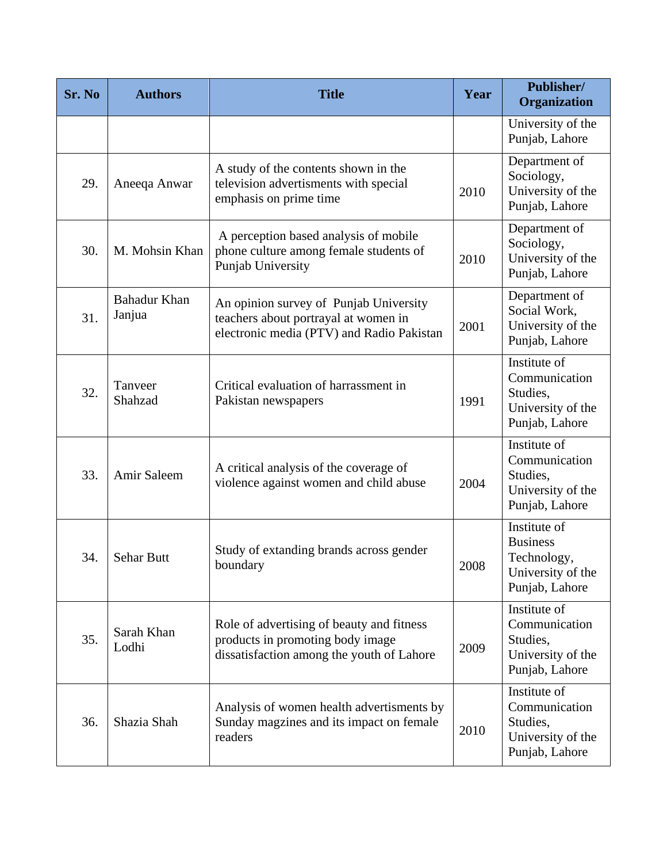| Sr. No | <b>Authors</b>                | <b>Title</b>                                                                                                                | Year | Publisher/<br>Organization                                                            |
|--------|-------------------------------|-----------------------------------------------------------------------------------------------------------------------------|------|---------------------------------------------------------------------------------------|
|        |                               |                                                                                                                             |      | University of the<br>Punjab, Lahore                                                   |
| 29.    | Aneeqa Anwar                  | A study of the contents shown in the<br>television advertisments with special<br>emphasis on prime time                     | 2010 | Department of<br>Sociology,<br>University of the<br>Punjab, Lahore                    |
| 30.    | M. Mohsin Khan                | A perception based analysis of mobile<br>phone culture among female students of<br>Punjab University                        | 2010 | Department of<br>Sociology,<br>University of the<br>Punjab, Lahore                    |
| 31.    | <b>Bahadur Khan</b><br>Janjua | An opinion survey of Punjab University<br>teachers about portrayal at women in<br>electronic media (PTV) and Radio Pakistan | 2001 | Department of<br>Social Work,<br>University of the<br>Punjab, Lahore                  |
| 32.    | Tanveer<br>Shahzad            | Critical evaluation of harrassment in<br>Pakistan newspapers                                                                | 1991 | Institute of<br>Communication<br>Studies,<br>University of the<br>Punjab, Lahore      |
| 33.    | Amir Saleem                   | A critical analysis of the coverage of<br>violence against women and child abuse                                            | 2004 | Institute of<br>Communication<br>Studies,<br>University of the<br>Punjab, Lahore      |
| 34.    | <b>Sehar Butt</b>             | Study of extanding brands across gender<br>boundary                                                                         | 2008 | Institute of<br><b>Business</b><br>Technology,<br>University of the<br>Punjab, Lahore |
| 35.    | Sarah Khan<br>Lodhi           | Role of advertising of beauty and fitness<br>products in promoting body image<br>dissatisfaction among the youth of Lahore  | 2009 | Institute of<br>Communication<br>Studies,<br>University of the<br>Punjab, Lahore      |
| 36.    | Shazia Shah                   | Analysis of women health advertisments by<br>Sunday magzines and its impact on female<br>readers                            | 2010 | Institute of<br>Communication<br>Studies,<br>University of the<br>Punjab, Lahore      |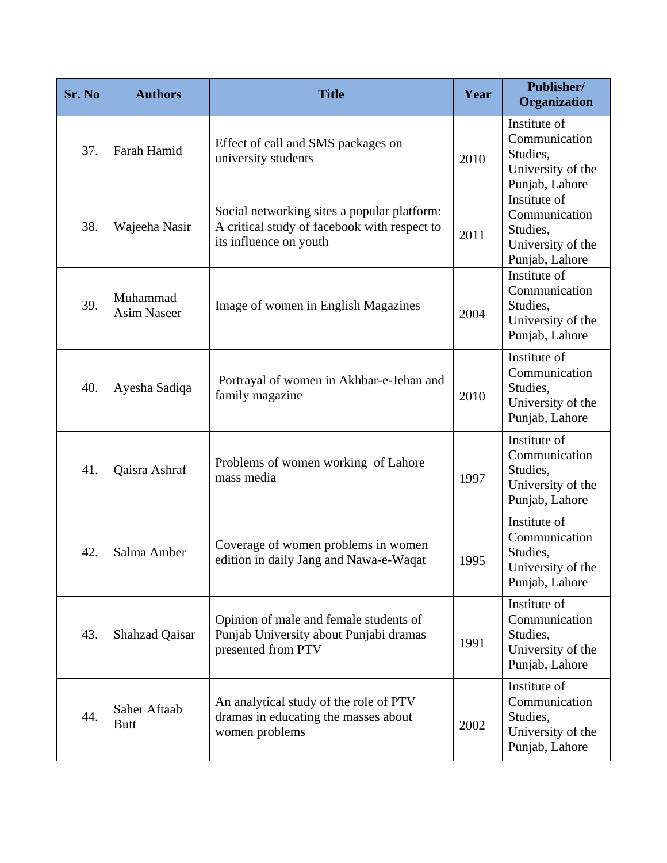| Sr. No | <b>Authors</b>                 | <b>Title</b>                                                                                                          | Year | Publisher/<br>Organization                                                       |
|--------|--------------------------------|-----------------------------------------------------------------------------------------------------------------------|------|----------------------------------------------------------------------------------|
| 37.    | Farah Hamid                    | Effect of call and SMS packages on<br>university students                                                             | 2010 | Institute of<br>Communication<br>Studies,<br>University of the<br>Punjab, Lahore |
| 38.    | Wajeeha Nasir                  | Social networking sites a popular platform:<br>A critical study of facebook with respect to<br>its influence on youth | 2011 | Institute of<br>Communication<br>Studies,<br>University of the<br>Punjab, Lahore |
| 39.    | Muhammad<br><b>Asim Naseer</b> | Image of women in English Magazines                                                                                   | 2004 | Institute of<br>Communication<br>Studies,<br>University of the<br>Punjab, Lahore |
| 40.    | Ayesha Sadiqa                  | Portrayal of women in Akhbar-e-Jehan and<br>family magazine                                                           | 2010 | Institute of<br>Communication<br>Studies,<br>University of the<br>Punjab, Lahore |
| 41.    | Qaisra Ashraf                  | Problems of women working of Lahore<br>mass media                                                                     | 1997 | Institute of<br>Communication<br>Studies,<br>University of the<br>Punjab, Lahore |
| 42.    | Salma Amber                    | Coverage of women problems in women<br>edition in daily Jang and Nawa-e-Waqat                                         | 1995 | Institute of<br>Communication<br>Studies,<br>University of the<br>Punjab, Lahore |
| 43.    | <b>Shahzad Qaisar</b>          | Opinion of male and female students of<br>Punjab University about Punjabi dramas<br>presented from PTV                | 1991 | Institute of<br>Communication<br>Studies,<br>University of the<br>Punjab, Lahore |
| 44.    | Saher Aftaab<br><b>Butt</b>    | An analytical study of the role of PTV<br>dramas in educating the masses about<br>women problems                      | 2002 | Institute of<br>Communication<br>Studies,<br>University of the<br>Punjab, Lahore |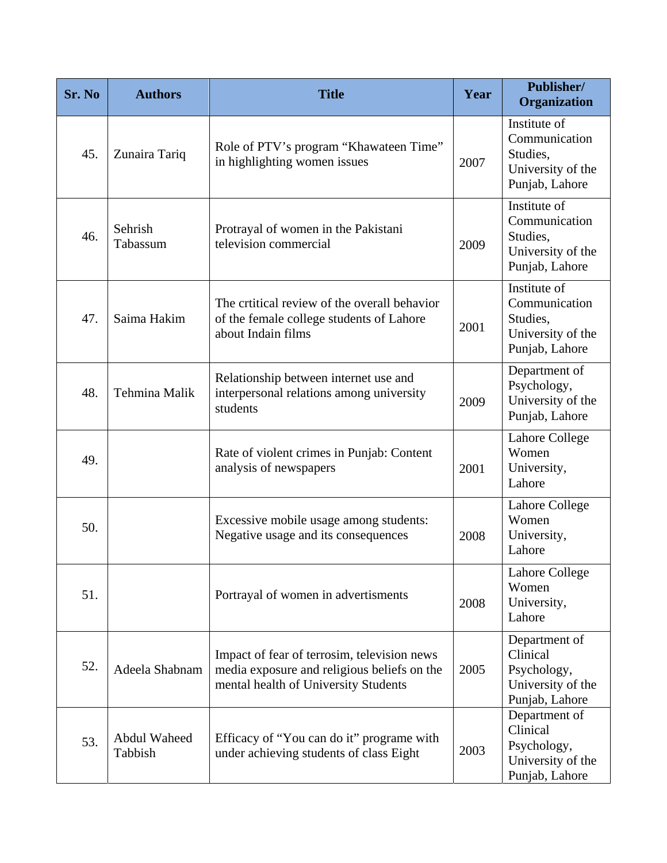| Sr. No | <b>Authors</b>          | <b>Title</b>                                                                                                                       | Year | Publisher/<br>Organization                                                       |
|--------|-------------------------|------------------------------------------------------------------------------------------------------------------------------------|------|----------------------------------------------------------------------------------|
| 45.    | Zunaira Tariq           | Role of PTV's program "Khawateen Time"<br>in highlighting women issues                                                             | 2007 | Institute of<br>Communication<br>Studies,<br>University of the<br>Punjab, Lahore |
| 46.    | Sehrish<br>Tabassum     | Protrayal of women in the Pakistani<br>television commercial                                                                       | 2009 | Institute of<br>Communication<br>Studies,<br>University of the<br>Punjab, Lahore |
| 47.    | Saima Hakim             | The critical review of the overall behavior<br>of the female college students of Lahore<br>about Indain films                      | 2001 | Institute of<br>Communication<br>Studies,<br>University of the<br>Punjab, Lahore |
| 48.    | Tehmina Malik           | Relationship between internet use and<br>interpersonal relations among university<br>students                                      | 2009 | Department of<br>Psychology,<br>University of the<br>Punjab, Lahore              |
| 49.    |                         | Rate of violent crimes in Punjab: Content<br>analysis of newspapers                                                                | 2001 | Lahore College<br>Women<br>University,<br>Lahore                                 |
| 50.    |                         | Excessive mobile usage among students:<br>Negative usage and its consequences                                                      | 2008 | <b>Lahore College</b><br>Women<br>University,<br>Lahore                          |
| 51.    |                         | Portrayal of women in advertisments                                                                                                | 2008 | <b>Lahore College</b><br>Women<br>University,<br>Lahore                          |
| 52.    | Adeela Shabnam          | Impact of fear of terrosim, television news<br>media exposure and religious beliefs on the<br>mental health of University Students | 2005 | Department of<br>Clinical<br>Psychology,<br>University of the<br>Punjab, Lahore  |
| 53.    | Abdul Waheed<br>Tabbish | Efficacy of "You can do it" programe with<br>under achieving students of class Eight                                               | 2003 | Department of<br>Clinical<br>Psychology,<br>University of the<br>Punjab, Lahore  |